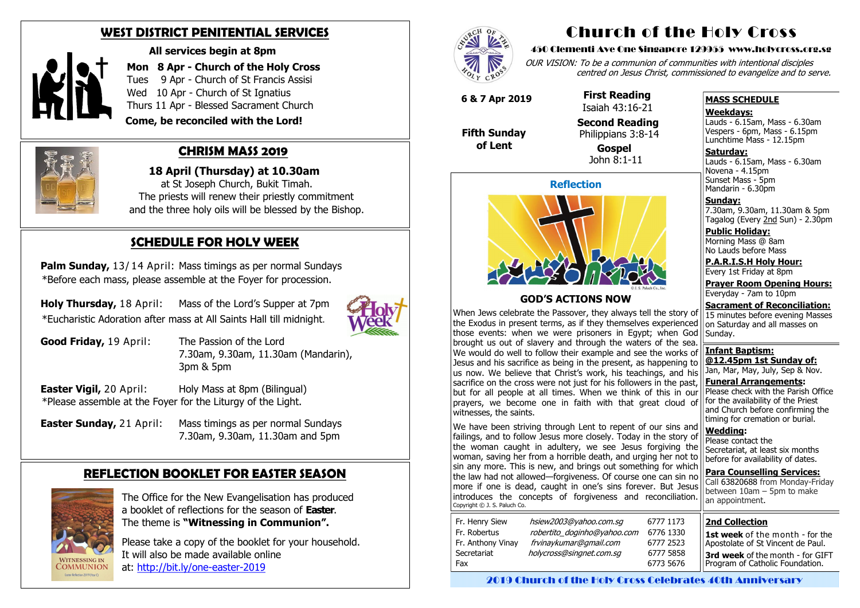#### **WEST DISTRICT PENITENTIAL SERVICES**



 **All services begin at 8pm**

**Mon 8 Apr - Church of the Holy Cross** Tues 9 Apr - Church of St Francis Assisi Wed 10 Apr - Church of St Ignatius Thurs 11 Apr - Blessed Sacrament Church

 **Come, be reconciled with the Lord!**



### **CHRISM MASS 2019**

**Palm Sunday, 13/14 April: Mass timings as per normal Sundays** \*Before each mass, please assemble at the Foyer for procession.

 **18 April (Thursday) at 10.30am**  at St Joseph Church, Bukit Timah. The priests will renew their priestly commitment and the three holy oils will be blessed by the Bishop.

**Holy Thursday, 18 April:** Mass of the Lord's Supper at 7pm \*Eucharistic Adoration after mass at All Saints Hall till midnight.



**Good Friday, 19 April:** The Passion of the Lord 7.30am, 9.30am, 11.30am (Mandarin), 3pm & 5pm

## **SCHEDULE FOR HOLY WEEK**

**Easter Vigil, 20 April:** Holy Mass at 8pm (Bilingual) \*Please assemble at the Foyer for the Liturgy of the Light.

**Easter Sunday,** 21 April: Mass timings as per normal Sundays 7.30am, 9.30am, 11.30am and 5pm

**Saturday:** Lauds - 6.15am, Mass - 6.30am Novena - 4.15pm Sunset Mass - 5pm Mandarin - 6.30pm

### **REFLECTION BOOKLET FOR EASTER SEASON**



 The Office for the New Evangelisation has produced a booklet of reflections for the season of **Easter**. The theme is **"Witnessing in Communion".**

 Please take a copy of the booklet for your household. It will also be made available online at: [http://bit.ly/one](http://bit.ly/one-easter-2019)-easter-2019



## Church of the Holy Cross

#### 450 Clementi Ave One Singapore 129955 www.holycross.org.sg

OUR VISION: To be a communion of communities with intentional disciples centred on Jesus Christ, commissioned to evangelize and to serve.

#### **MASS SCHEDULE**

**Weekdays:**

Lauds - 6.15am, Mass - 6.30am Vespers - 6pm, Mass - 6.15pm Lunchtime Mass - 12.15pm

We have been striving through Lent to repent of our sins and failings, and to follow Jesus more closely. Today in the story of the woman caught in adultery, we see Jesus forgiving the woman, saving her from a horrible death, and urging her not to sin any more. This is new, and brings out something for which the law had not allowed—forgiveness. Of course one can sin no more if one is dead, caught in one's sins forever. But Jesus introduces the concepts of forgiveness and reconciliation. Copyright © J. S. Paluch Co.

**Sunday:** 7.30am, 9.30am, 11.30am & 5pm Tagalog (Every 2nd Sun) - 2.30pm

**Public Holiday:**  Morning Mass @ 8am No Lauds before Mass

**P.A.R.I.S.H Holy Hour:** Every 1st Friday at 8pm

**Prayer Room Opening Hours:** Everyday - 7am to 10pm

**Sacrament of Reconciliation:** 15 minutes before evening Masses on Saturday and all masses on Sunday.

**Infant Baptism: @12.45pm 1st Sunday of:** Jan, Mar, May, July, Sep & Nov. **Funeral Arrangements:**  Please check with the Parish Office

for the availability of the Priest and Church before confirming the timing for cremation or burial.

**Wedding:**  Please contact the Secretariat, at least six months before for availability of dates.

**Para Counselling Services:** Call [63820688](tel:+6563820688) from Monday-Friday between 10am – 5pm to make an appointment.

**Reflection**



#### **GOD'S ACTIONS NOW**

When Jews celebrate the Passover, they always tell the story of the Exodus in present terms, as if they themselves experienced those events: when we were prisoners in Egypt; when God brought us out of slavery and through the waters of the sea. We would do well to follow their example and see the works of Jesus and his sacrifice as being in the present, as happening to us now. We believe that Christ's work, his teachings, and his sacrifice on the cross were not just for his followers in the past, but for all people at all times. When we think of this in our prayers, we become one in faith with that great cloud of witnesses, the saints.

 **6 & 7 Apr 2019**

 **Fifth Sunday of Lent**

 **First Reading** Isaiah 43:16-21

**Second Reading**

 Philippians 3:8-14 **Gospel** John 8:1-11

#### **2nd Collection**

**1st week** of the month - for the Apostolate of St Vincent de Paul.

**3rd week** of the month - for GIFT Program of Catholic Foundation.

2019 Church of the Holy Cross Celebrates 40th Anniversary